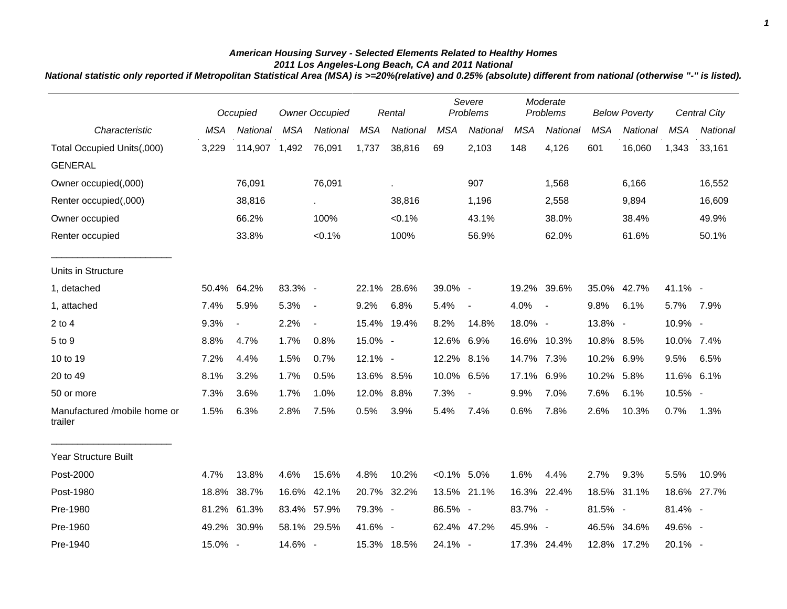## *American Housing Survey - Selected Elements Related to Healthy Homes 2011 Los Angeles-Long Beach, CA and 2011 National*

*National statistic only reported if Metropolitan Statistical Area (MSA) is >=20%(relative) and 0.25% (absolute) different from national (otherwise "-" is listed).*

|                                         |            | Occupied                 | <b>Owner Occupied</b> |                | Rental     |             | Severe<br>Problems |                          | Moderate<br>Problems |             | <b>Below Poverty</b> |             |            | <b>Central City</b> |
|-----------------------------------------|------------|--------------------------|-----------------------|----------------|------------|-------------|--------------------|--------------------------|----------------------|-------------|----------------------|-------------|------------|---------------------|
| Characteristic                          | <b>MSA</b> | National                 | <b>MSA</b>            | National       | <b>MSA</b> | National    | <b>MSA</b>         | National                 | <b>MSA</b>           | National    | <b>MSA</b>           | National    | <b>MSA</b> | National            |
| Total Occupied Units(,000)              | 3,229      | 114,907                  | 1,492                 | 76,091         | 1,737      | 38,816      | 69                 | 2,103                    | 148                  | 4,126       | 601                  | 16,060      | 1,343      | 33,161              |
| <b>GENERAL</b>                          |            |                          |                       |                |            |             |                    |                          |                      |             |                      |             |            |                     |
| Owner occupied(,000)                    |            | 76,091                   |                       | 76,091         |            |             |                    | 907                      |                      | 1,568       |                      | 6,166       |            | 16,552              |
| Renter occupied(,000)                   |            | 38,816                   |                       | $\sim$         |            | 38,816      |                    | 1,196                    |                      | 2,558       |                      | 9,894       |            | 16,609              |
| Owner occupied                          |            | 66.2%                    |                       | 100%           |            | $< 0.1\%$   |                    | 43.1%                    |                      | 38.0%       |                      | 38.4%       |            | 49.9%               |
| Renter occupied                         |            | 33.8%                    |                       | $< 0.1\%$      |            | 100%        |                    | 56.9%                    |                      | 62.0%       |                      | 61.6%       |            | 50.1%               |
| Units in Structure                      |            |                          |                       |                |            |             |                    |                          |                      |             |                      |             |            |                     |
| 1, detached                             | 50.4%      | 64.2%                    | 83.3% -               |                |            | 22.1% 28.6% | 39.0% -            |                          |                      | 19.2% 39.6% |                      | 35.0% 42.7% | 41.1% -    |                     |
| 1, attached                             | 7.4%       | 5.9%                     | 5.3%                  | $\sim$         | 9.2%       | 6.8%        | 5.4%               | $\overline{\phantom{a}}$ | 4.0%                 | $\sim$      | 9.8%                 | 6.1%        | 5.7%       | 7.9%                |
| $2$ to $4$                              | 9.3%       | $\overline{\phantom{a}}$ | 2.2%                  | $\blacksquare$ |            | 15.4% 19.4% | 8.2%               | 14.8%                    | 18.0% -              |             | 13.8% -              |             | 10.9% -    |                     |
| 5 to 9                                  | 8.8%       | 4.7%                     | 1.7%                  | 0.8%           | 15.0% -    |             | 12.6% 6.9%         |                          |                      | 16.6% 10.3% | 10.8% 8.5%           |             | 10.0% 7.4% |                     |
| 10 to 19                                | 7.2%       | 4.4%                     | 1.5%                  | 0.7%           | 12.1% -    |             | 12.2% 8.1%         |                          | 14.7% 7.3%           |             | 10.2% 6.9%           |             | 9.5%       | 6.5%                |
| 20 to 49                                | 8.1%       | 3.2%                     | 1.7%                  | 0.5%           | 13.6% 8.5% |             | 10.0% 6.5%         |                          | 17.1% 6.9%           |             | 10.2% 5.8%           |             | 11.6% 6.1% |                     |
| 50 or more                              | 7.3%       | 3.6%                     | 1.7%                  | 1.0%           | 12.0% 8.8% |             | 7.3%               | $\overline{\phantom{a}}$ | 9.9%                 | 7.0%        | 7.6%                 | 6.1%        | 10.5% -    |                     |
| Manufactured /mobile home or<br>trailer | 1.5%       | 6.3%                     | 2.8%                  | 7.5%           | 0.5%       | 3.9%        | 5.4%               | 7.4%                     | 0.6%                 | 7.8%        | 2.6%                 | 10.3%       | 0.7%       | 1.3%                |
| Year Structure Built                    |            |                          |                       |                |            |             |                    |                          |                      |             |                      |             |            |                     |
| Post-2000                               | 4.7%       | 13.8%                    | 4.6%                  | 15.6%          | 4.8%       | 10.2%       | $< 0.1\%$ 5.0%     |                          | 1.6%                 | 4.4%        | 2.7%                 | 9.3%        | 5.5%       | 10.9%               |
| Post-1980                               | 18.8%      | 38.7%                    | 16.6%                 | 42.1%          |            | 20.7% 32.2% |                    | 13.5% 21.1%              |                      | 16.3% 22.4% | 18.5%                | 31.1%       |            | 18.6% 27.7%         |
| Pre-1980                                | 81.2%      | 61.3%                    |                       | 83.4% 57.9%    | 79.3% -    |             | 86.5% -            |                          | 83.7% -              |             | 81.5% -              |             | 81.4% -    |                     |
| Pre-1960                                | 49.2%      | 30.9%                    |                       | 58.1% 29.5%    | 41.6% -    |             |                    | 62.4% 47.2%              | 45.9% -              |             |                      | 46.5% 34.6% | 49.6% -    |                     |
| Pre-1940                                | 15.0% -    |                          | 14.6% -               |                |            | 15.3% 18.5% | 24.1% -            |                          |                      | 17.3% 24.4% |                      | 12.8% 17.2% | 20.1% -    |                     |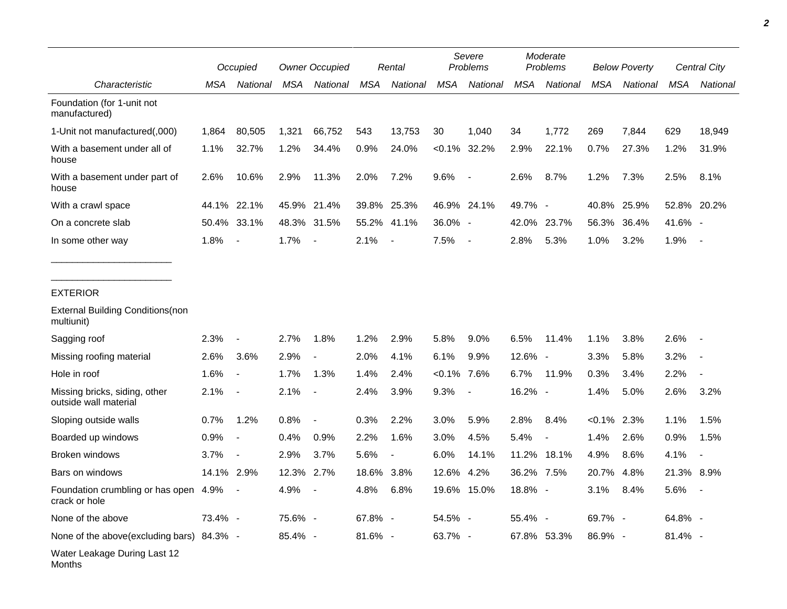|                                                        | Occupied   |                          | <b>Owner Occupied</b> |                          | Rental     |                | Severe<br>Problems |             | Moderate<br>Problems |             | <b>Below Poverty</b> |          | Central City |                |
|--------------------------------------------------------|------------|--------------------------|-----------------------|--------------------------|------------|----------------|--------------------|-------------|----------------------|-------------|----------------------|----------|--------------|----------------|
| Characteristic                                         | MSA        | National                 | MSA                   | National                 | <b>MSA</b> | National       | <b>MSA</b>         | National    | <b>MSA</b>           | National    | <b>MSA</b>           | National | <b>MSA</b>   | National       |
| Foundation (for 1-unit not<br>manufactured)            |            |                          |                       |                          |            |                |                    |             |                      |             |                      |          |              |                |
| 1-Unit not manufactured(,000)                          | 1,864      | 80,505                   | 1,321                 | 66,752                   | 543        | 13,753         | 30                 | 1,040       | 34                   | 1,772       | 269                  | 7,844    | 629          | 18,949         |
| With a basement under all of<br>house                  | 1.1%       | 32.7%                    | 1.2%                  | 34.4%                    | 0.9%       | 24.0%          | $< 0.1\%$          | 32.2%       | 2.9%                 | 22.1%       | 0.7%                 | 27.3%    | 1.2%         | 31.9%          |
| With a basement under part of<br>house                 | 2.6%       | 10.6%                    | 2.9%                  | 11.3%                    | 2.0%       | 7.2%           | 9.6%               | $\sim$      | 2.6%                 | 8.7%        | 1.2%                 | 7.3%     | 2.5%         | 8.1%           |
| With a crawl space                                     | 44.1%      | 22.1%                    |                       | 45.9% 21.4%              | 39.8%      | 25.3%          |                    | 46.9% 24.1% | 49.7% -              |             | 40.8%                | 25.9%    |              | 52.8% 20.2%    |
| On a concrete slab                                     |            | 50.4% 33.1%              |                       | 48.3% 31.5%              | 55.2%      | 41.1%          | 36.0% -            |             |                      | 42.0% 23.7% | 56.3%                | 36.4%    | 41.6% -      |                |
| In some other way                                      | 1.8%       | $\blacksquare$           | 1.7%                  | $\overline{a}$           | 2.1%       | $\blacksquare$ | 7.5%               | $\sim$      | 2.8%                 | 5.3%        | 1.0%                 | 3.2%     | 1.9%         | $\blacksquare$ |
| <b>EXTERIOR</b>                                        |            |                          |                       |                          |            |                |                    |             |                      |             |                      |          |              |                |
| <b>External Building Conditions (non</b><br>multiunit) |            |                          |                       |                          |            |                |                    |             |                      |             |                      |          |              |                |
| Sagging roof                                           | 2.3%       | $\overline{\phantom{a}}$ | 2.7%                  | 1.8%                     | 1.2%       | 2.9%           | 5.8%               | 9.0%        | 6.5%                 | 11.4%       | 1.1%                 | 3.8%     | 2.6%         |                |
| Missing roofing material                               | 2.6%       | 3.6%                     | 2.9%                  |                          | 2.0%       | 4.1%           | 6.1%               | 9.9%        | 12.6% -              |             | 3.3%                 | 5.8%     | 3.2%         |                |
| Hole in roof                                           | 1.6%       | $\blacksquare$           | 1.7%                  | 1.3%                     | 1.4%       | 2.4%           | $< 0.1\%$ 7.6%     |             | 6.7%                 | 11.9%       | 0.3%                 | 3.4%     | 2.2%         |                |
| Missing bricks, siding, other<br>outside wall material | 2.1%       | $\blacksquare$           | 2.1%                  | $\blacksquare$           | 2.4%       | 3.9%           | 9.3%               | $\sim$      | 16.2% -              |             | 1.4%                 | 5.0%     | 2.6%         | 3.2%           |
| Sloping outside walls                                  | 0.7%       | 1.2%                     | 0.8%                  | $\overline{\phantom{a}}$ | 0.3%       | 2.2%           | 3.0%               | 5.9%        | 2.8%                 | 8.4%        | $< 0.1\%$ 2.3%       |          | 1.1%         | 1.5%           |
| Boarded up windows                                     | 0.9%       | $\blacksquare$           | 0.4%                  | 0.9%                     | 2.2%       | 1.6%           | 3.0%               | 4.5%        | 5.4%                 |             | 1.4%                 | 2.6%     | 0.9%         | 1.5%           |
| Broken windows                                         | 3.7%       | $\blacksquare$           | 2.9%                  | 3.7%                     | 5.6%       | $\blacksquare$ | 6.0%               | 14.1%       | 11.2%                | 18.1%       | 4.9%                 | 8.6%     | 4.1%         |                |
| Bars on windows                                        | 14.1% 2.9% |                          | 12.3% 2.7%            |                          | 18.6%      | 3.8%           | 12.6%              | 4.2%        | 36.2% 7.5%           |             | 20.7%                | 4.8%     | 21.3% 8.9%   |                |
| Foundation crumbling or has open 4.9%<br>crack or hole |            |                          | 4.9%                  |                          | 4.8%       | 6.8%           |                    | 19.6% 15.0% | 18.8% -              |             | 3.1%                 | 8.4%     | 5.6%         |                |
| None of the above                                      | 73.4% -    |                          | 75.6% -               |                          | 67.8% -    |                | 54.5% -            |             | 55.4% -              |             | 69.7% -              |          | 64.8% -      |                |
| None of the above(excluding bars) 84.3% -              |            |                          | 85.4% -               |                          | 81.6% -    |                | 63.7% -            |             |                      | 67.8% 53.3% | 86.9% -              |          | 81.4% -      |                |
| Water Leakage During Last 12<br>Months                 |            |                          |                       |                          |            |                |                    |             |                      |             |                      |          |              |                |

*2*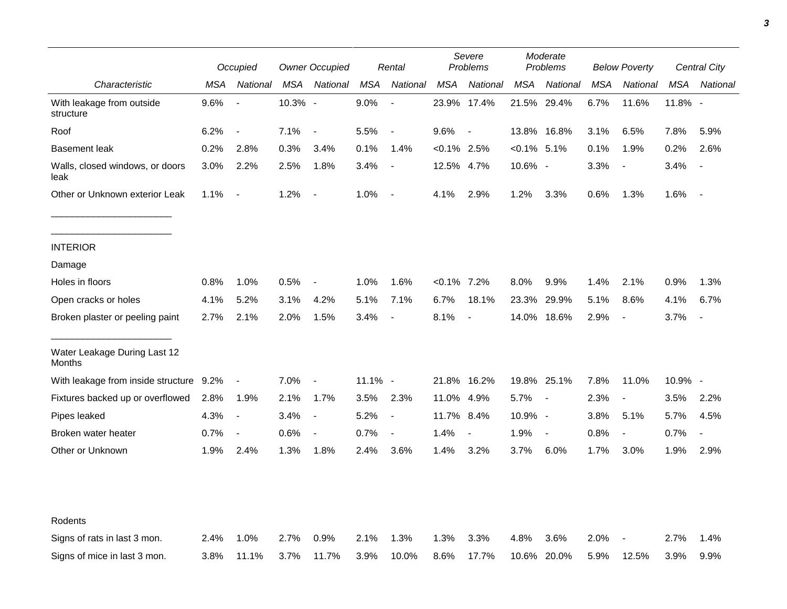|                                         | Occupied |                          | <b>Owner Occupied</b> |                          | Rental     |                          | Severe<br>Problems |                          | Moderate<br>Problems |                          | <b>Below Poverty</b> |                          | <b>Central City</b> |                |
|-----------------------------------------|----------|--------------------------|-----------------------|--------------------------|------------|--------------------------|--------------------|--------------------------|----------------------|--------------------------|----------------------|--------------------------|---------------------|----------------|
| Characteristic                          | MSA      | National                 | MSA                   | National                 | MSA        | National                 | MSA                | National                 | MSA                  | National                 | MSA                  | National                 | MSA                 | National       |
| With leakage from outside<br>structure  | 9.6%     | $\overline{\phantom{a}}$ | 10.3% -               |                          | 9.0%       | $\overline{\phantom{a}}$ |                    | 23.9% 17.4%              |                      | 21.5% 29.4%              | 6.7%                 | 11.6%                    | 11.8% -             |                |
| Roof                                    | 6.2%     | $\blacksquare$           | 7.1%                  | $\overline{\phantom{a}}$ | 5.5%       | $\overline{\phantom{a}}$ | 9.6%               | $\overline{\phantom{a}}$ |                      | 13.8% 16.8%              | 3.1%                 | 6.5%                     | 7.8%                | 5.9%           |
| <b>Basement leak</b>                    | 0.2%     | 2.8%                     | 0.3%                  | 3.4%                     | 0.1%       | 1.4%                     | $< 0.1\%$ 2.5%     |                          | $< 0.1\%$ 5.1%       |                          | 0.1%                 | 1.9%                     | 0.2%                | 2.6%           |
| Walls, closed windows, or doors<br>leak | 3.0%     | 2.2%                     | 2.5%                  | 1.8%                     | 3.4%       | $\overline{\phantom{a}}$ | 12.5% 4.7%         |                          | 10.6% -              |                          | 3.3%                 | $\overline{\phantom{a}}$ | 3.4%                |                |
| Other or Unknown exterior Leak          | 1.1%     | $\blacksquare$           | 1.2%                  | $\overline{\phantom{a}}$ | 1.0%       | $\overline{\phantom{a}}$ | 4.1%               | 2.9%                     | 1.2%                 | 3.3%                     | 0.6%                 | 1.3%                     | 1.6%                | $\blacksquare$ |
| <b>INTERIOR</b>                         |          |                          |                       |                          |            |                          |                    |                          |                      |                          |                      |                          |                     |                |
| Damage                                  |          |                          |                       |                          |            |                          |                    |                          |                      |                          |                      |                          |                     |                |
| Holes in floors                         | 0.8%     | 1.0%                     | 0.5%                  | $\blacksquare$           | 1.0%       | 1.6%                     | $< 0.1\%$ 7.2%     |                          | 8.0%                 | 9.9%                     | 1.4%                 | 2.1%                     | 0.9%                | 1.3%           |
| Open cracks or holes                    | 4.1%     | 5.2%                     | 3.1%                  | 4.2%                     | 5.1%       | 7.1%                     | 6.7%               | 18.1%                    | 23.3%                | 29.9%                    | 5.1%                 | 8.6%                     | 4.1%                | 6.7%           |
| Broken plaster or peeling paint         | 2.7%     | 2.1%                     | 2.0%                  | 1.5%                     | 3.4%       | $\overline{\phantom{a}}$ | 8.1%               |                          | 14.0%                | 18.6%                    | 2.9%                 | $\overline{\phantom{a}}$ | 3.7%                |                |
| Water Leakage During Last 12<br>Months  |          |                          |                       |                          |            |                          |                    |                          |                      |                          |                      |                          |                     |                |
| With leakage from inside structure 9.2% |          | $\overline{\phantom{a}}$ | 7.0%                  | $\overline{\phantom{a}}$ | $11.1\%$ - |                          |                    | 21.8% 16.2%              |                      | 19.8% 25.1%              | 7.8%                 | 11.0%                    | 10.9% -             |                |
| Fixtures backed up or overflowed        | 2.8%     | 1.9%                     | 2.1%                  | 1.7%                     | 3.5%       | 2.3%                     | 11.0% 4.9%         |                          | 5.7%                 | $\overline{\phantom{a}}$ | 2.3%                 | $\blacksquare$           | 3.5%                | 2.2%           |
| Pipes leaked                            | 4.3%     | $\overline{\phantom{a}}$ | 3.4%                  | $\blacksquare$           | 5.2%       | $\blacksquare$           | 11.7% 8.4%         |                          | 10.9% -              |                          | 3.8%                 | 5.1%                     | 5.7%                | 4.5%           |
| Broken water heater                     | 0.7%     | $\overline{\phantom{a}}$ | 0.6%                  | $\blacksquare$           | 0.7%       | $\overline{\phantom{a}}$ | 1.4%               | $\overline{\phantom{a}}$ | 1.9%                 | $\blacksquare$           | 0.8%                 | $\blacksquare$           | 0.7%                | $\blacksquare$ |
| Other or Unknown                        | 1.9%     | 2.4%                     | 1.3%                  | 1.8%                     | 2.4%       | 3.6%                     | 1.4%               | 3.2%                     | 3.7%                 | 6.0%                     | 1.7%                 | 3.0%                     | 1.9%                | 2.9%           |
| Rodents                                 |          |                          |                       |                          |            |                          |                    |                          |                      |                          |                      |                          |                     |                |
| Signs of rats in last 3 mon.            | 2.4%     | 1.0%                     | 2.7%                  | 0.9%                     | 2.1%       | 1.3%                     | 1.3%               | 3.3%                     | 4.8%                 | 3.6%                     | 2.0%                 |                          | 2.7%                | 1.4%           |
| Signs of mice in last 3 mon.            | 3.8%     | 11.1%                    | 3.7%                  | 11.7%                    | 3.9%       | 10.0%                    | 8.6%               | 17.7%                    |                      | 10.6% 20.0%              | 5.9%                 | 12.5%                    | 3.9%                | 9.9%           |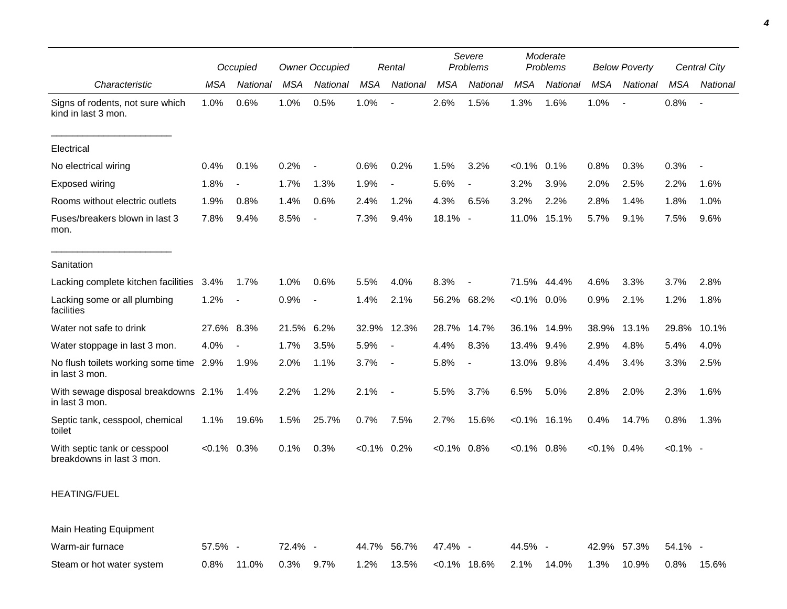|                                                           |                | Occupied                 |            | <b>Owner Occupied</b>    |                | Rental      |            | Severe<br>Problems       |                | Moderate<br>Problems |                | <b>Below Poverty</b>     |             | Central City   |  |
|-----------------------------------------------------------|----------------|--------------------------|------------|--------------------------|----------------|-------------|------------|--------------------------|----------------|----------------------|----------------|--------------------------|-------------|----------------|--|
| Characteristic                                            | <b>MSA</b>     | National                 | MSA        | National                 | <b>MSA</b>     | National    | <b>MSA</b> | National                 | <b>MSA</b>     | National             | <b>MSA</b>     | National                 | <b>MSA</b>  | National       |  |
| Signs of rodents, not sure which<br>kind in last 3 mon.   | 1.0%           | 0.6%                     | 1.0%       | 0.5%                     | 1.0%           |             | 2.6%       | 1.5%                     | 1.3%           | 1.6%                 | 1.0%           | $\overline{\phantom{a}}$ | 0.8%        | $\blacksquare$ |  |
| Electrical                                                |                |                          |            |                          |                |             |            |                          |                |                      |                |                          |             |                |  |
| No electrical wiring                                      | 0.4%           | 0.1%                     | 0.2%       | $\overline{\phantom{a}}$ | 0.6%           | 0.2%        | 1.5%       | 3.2%                     | $< 0.1\%$ 0.1% |                      | 0.8%           | 0.3%                     | 0.3%        |                |  |
| <b>Exposed wiring</b>                                     | 1.8%           | $\blacksquare$           | 1.7%       | 1.3%                     | 1.9%           |             | 5.6%       | $\overline{\phantom{a}}$ | 3.2%           | 3.9%                 | 2.0%           | 2.5%                     | 2.2%        | 1.6%           |  |
| Rooms without electric outlets                            | 1.9%           | 0.8%                     | 1.4%       | 0.6%                     | 2.4%           | 1.2%        | 4.3%       | 6.5%                     | 3.2%           | 2.2%                 | 2.8%           | 1.4%                     | 1.8%        | 1.0%           |  |
| Fuses/breakers blown in last 3<br>mon.                    | 7.8%           | 9.4%                     | 8.5%       | $\overline{\phantom{a}}$ | 7.3%           | 9.4%        | 18.1% -    |                          | 11.0%          | 15.1%                | 5.7%           | 9.1%                     | 7.5%        | 9.6%           |  |
| Sanitation                                                |                |                          |            |                          |                |             |            |                          |                |                      |                |                          |             |                |  |
| Lacking complete kitchen facilities                       | 3.4%           | 1.7%                     | 1.0%       | 0.6%                     | 5.5%           | 4.0%        | 8.3%       | $\overline{\phantom{a}}$ | 71.5%          | 44.4%                | 4.6%           | 3.3%                     | 3.7%        | 2.8%           |  |
| Lacking some or all plumbing<br>facilities                | 1.2%           | $\overline{\phantom{a}}$ | 0.9%       | $\overline{\phantom{a}}$ | 1.4%           | 2.1%        | 56.2%      | 68.2%                    | $< 0.1\%$ 0.0% |                      | 0.9%           | 2.1%                     | 1.2%        | 1.8%           |  |
| Water not safe to drink                                   | 27.6%          | 8.3%                     | 21.5% 6.2% |                          |                | 32.9% 12.3% | 28.7%      | 14.7%                    |                | 36.1% 14.9%          | 38.9%          | 13.1%                    | 29.8%       | 10.1%          |  |
| Water stoppage in last 3 mon.                             | 4.0%           |                          | 1.7%       | 3.5%                     | 5.9%           |             | 4.4%       | 8.3%                     | 13.4% 9.4%     |                      | 2.9%           | 4.8%                     | 5.4%        | 4.0%           |  |
| No flush toilets working some time 2.9%<br>in last 3 mon. |                | 1.9%                     | 2.0%       | 1.1%                     | 3.7%           |             | 5.8%       | $\overline{a}$           | 13.0% 9.8%     |                      | 4.4%           | 3.4%                     | 3.3%        | 2.5%           |  |
| With sewage disposal breakdowns 2.1%<br>in last 3 mon.    |                | $1.4\%$                  | 2.2%       | 1.2%                     | 2.1%           |             | 5.5%       | 3.7%                     | 6.5%           | 5.0%                 | 2.8%           | 2.0%                     | 2.3%        | 1.6%           |  |
| Septic tank, cesspool, chemical<br>toilet                 | 1.1%           | 19.6%                    | 1.5%       | 25.7%                    | 0.7%           | 7.5%        | 2.7%       | 15.6%                    |                | $< 0.1\%$ 16.1%      | 0.4%           | 14.7%                    | 0.8%        | 1.3%           |  |
| With septic tank or cesspool<br>breakdowns in last 3 mon. | $< 0.1\%$ 0.3% |                          | 0.1%       | 0.3%                     | $< 0.1\%$ 0.2% |             | $< 0.1\%$  | 0.8%                     | $< 0.1\%$ 0.8% |                      | $< 0.1\%$ 0.4% |                          | $< 0.1\%$ - |                |  |
| <b>HEATING/FUEL</b>                                       |                |                          |            |                          |                |             |            |                          |                |                      |                |                          |             |                |  |

Main Heating Equipment

| Warm-air furnace          | 57.5% - | 72.4% - |                                                                            | 44.7% 56.7% 47.4% - |  | 44.5% - |  | 42.9% 57.3% 54.1% - |  |
|---------------------------|---------|---------|----------------------------------------------------------------------------|---------------------|--|---------|--|---------------------|--|
| Steam or hot water system |         |         | $11.0\%$ 0.3% 9.7% 1.2% 13.5% <0.1% 18.6% 2.1% 14.0% 1.3% 10.9% 0.8% 15.6% |                     |  |         |  |                     |  |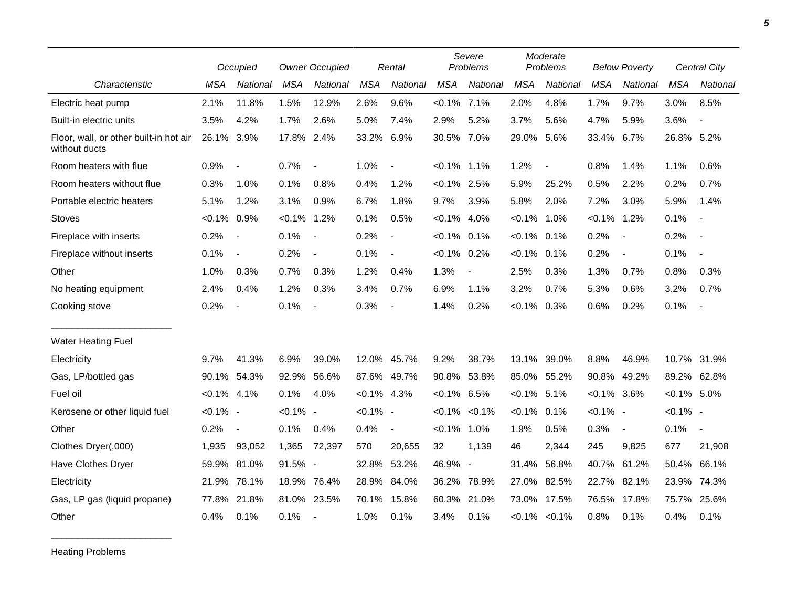|                                                         |                | Occupied                 |             | <b>Owner Occupied</b>    |                | Rental                   |                | Severe<br>Problems       |                | Moderate<br>Problems |                | <b>Below Poverty</b>     |                | <b>Central City</b>      |
|---------------------------------------------------------|----------------|--------------------------|-------------|--------------------------|----------------|--------------------------|----------------|--------------------------|----------------|----------------------|----------------|--------------------------|----------------|--------------------------|
| Characteristic                                          | <b>MSA</b>     | National                 | <b>MSA</b>  | National                 | <b>MSA</b>     | National                 | <b>MSA</b>     | National                 | <b>MSA</b>     | National             | <b>MSA</b>     | National                 | <b>MSA</b>     | National                 |
| Electric heat pump                                      | 2.1%           | 11.8%                    | 1.5%        | 12.9%                    | 2.6%           | 9.6%                     | $< 0.1\%$      | 7.1%                     | 2.0%           | 4.8%                 | 1.7%           | 9.7%                     | 3.0%           | 8.5%                     |
| Built-in electric units                                 | 3.5%           | 4.2%                     | 1.7%        | 2.6%                     | 5.0%           | 7.4%                     | 2.9%           | 5.2%                     | 3.7%           | 5.6%                 | 4.7%           | 5.9%                     | 3.6%           | $\overline{\phantom{a}}$ |
| Floor, wall, or other built-in hot air<br>without ducts | 26.1% 3.9%     |                          | 17.8% 2.4%  |                          | 33.2%          | 6.9%                     | 30.5%          | 7.0%                     | 29.0%          | 5.6%                 | 33.4%          | 6.7%                     | 26.8% 5.2%     |                          |
| Room heaters with flue                                  | 0.9%           | $\overline{\phantom{a}}$ | 0.7%        | $\overline{\phantom{a}}$ | 1.0%           | $\blacksquare$           | $< 0.1\%$      | 1.1%                     | 1.2%           | $\blacksquare$       | 0.8%           | 1.4%                     | 1.1%           | 0.6%                     |
| Room heaters without flue                               | 0.3%           | 1.0%                     | 0.1%        | 0.8%                     | 0.4%           | 1.2%                     | $< 0.1\%$ 2.5% |                          | 5.9%           | 25.2%                | 0.5%           | 2.2%                     | 0.2%           | 0.7%                     |
| Portable electric heaters                               | 5.1%           | 1.2%                     | 3.1%        | 0.9%                     | 6.7%           | 1.8%                     | 9.7%           | 3.9%                     | 5.8%           | 2.0%                 | 7.2%           | 3.0%                     | 5.9%           | 1.4%                     |
| Stoves                                                  | $< 0.1\%$      | 0.9%                     | $< 0.1\%$   | 1.2%                     | 0.1%           | 0.5%                     | $< 0.1\%$ 4.0% |                          | $< 0.1\%$      | 1.0%                 | $< 0.1\%$      | 1.2%                     | 0.1%           | $\overline{\phantom{a}}$ |
| Fireplace with inserts                                  | 0.2%           | $\blacksquare$           | 0.1%        | $\overline{\phantom{a}}$ | 0.2%           | $\blacksquare$           | $< 0.1\%$ 0.1% |                          | $< 0.1\%$      | 0.1%                 | 0.2%           | $\overline{\phantom{a}}$ | 0.2%           | $\overline{\phantom{a}}$ |
| Fireplace without inserts                               | 0.1%           | $\overline{\phantom{a}}$ | 0.2%        | $\overline{\phantom{a}}$ | 0.1%           | $\blacksquare$           | $< 0.1\%$ 0.2% |                          | $< 0.1\%$      | $0.1\%$              | 0.2%           | $\overline{\phantom{a}}$ | 0.1%           | $\overline{\phantom{a}}$ |
| Other                                                   | 1.0%           | 0.3%                     | 0.7%        | 0.3%                     | 1.2%           | 0.4%                     | 1.3%           | $\overline{\phantom{a}}$ | 2.5%           | 0.3%                 | 1.3%           | 0.7%                     | 0.8%           | 0.3%                     |
| No heating equipment                                    | 2.4%           | 0.4%                     | 1.2%        | 0.3%                     | 3.4%           | 0.7%                     | 6.9%           | $1.1\%$                  | 3.2%           | 0.7%                 | 5.3%           | 0.6%                     | 3.2%           | 0.7%                     |
| Cooking stove                                           | 0.2%           | $\blacksquare$           | 0.1%        | $\overline{\phantom{a}}$ | 0.3%           | $\overline{\phantom{a}}$ | 1.4%           | 0.2%                     | $< 0.1\%$      | 0.3%                 | 0.6%           | 0.2%                     | 0.1%           | $\overline{\phantom{a}}$ |
| <b>Water Heating Fuel</b>                               |                |                          |             |                          |                |                          |                |                          |                |                      |                |                          |                |                          |
| Electricity                                             | 9.7%           | 41.3%                    | 6.9%        | 39.0%                    |                | 12.0% 45.7%              | 9.2%           | 38.7%                    | 13.1%          | 39.0%                | 8.8%           | 46.9%                    | 10.7%          | 31.9%                    |
| Gas, LP/bottled gas                                     | 90.1%          | 54.3%                    | 92.9%       | 56.6%                    |                | 87.6% 49.7%              | 90.8%          | 53.8%                    |                | 85.0% 55.2%          | 90.8%          | 49.2%                    |                | 89.2% 62.8%              |
| Fuel oil                                                | $< 0.1\%$ 4.1% |                          | 0.1%        | 4.0%                     | $< 0.1\%$ 4.3% |                          | $< 0.1\%$ 6.5% |                          | $< 0.1\%$ 5.1% |                      | $< 0.1\%$ 3.6% |                          | $< 0.1\%$ 5.0% |                          |
| Kerosene or other liquid fuel                           | $< 0.1\%$ -    |                          | $< 0.1\%$ - |                          | $< 0.1\%$ -    |                          |                | $< 0.1\%$ $< 0.1\%$      | $< 0.1\%$      | 0.1%                 | $< 0.1\%$ -    |                          | $< 0.1\%$ -    |                          |
| Other                                                   | 0.2%           | $\blacksquare$           | 0.1%        | 0.4%                     | 0.4%           | $\overline{\phantom{a}}$ | $< 0.1\%$      | 1.0%                     | 1.9%           | 0.5%                 | 0.3%           | $\blacksquare$           | 0.1%           | $\sim$                   |
| Clothes Dryer(,000)                                     | 1,935          | 93,052                   | 1,365       | 72,397                   | 570            | 20,655                   | 32             | 1,139                    | 46             | 2,344                | 245            | 9,825                    | 677            | 21,908                   |
| Have Clothes Dryer                                      |                | 59.9% 81.0%              | 91.5% -     |                          |                | 32.8% 53.2%              | 46.9%          | $\overline{\phantom{a}}$ | 31.4%          | 56.8%                | 40.7% 61.2%    |                          | 50.4%          | 66.1%                    |
| Electricity                                             | 21.9%          | 78.1%                    | 18.9%       | 76.4%                    | 28.9%          | 84.0%                    | 36.2%          | 78.9%                    | 27.0%          | 82.5%                | 22.7%          | 82.1%                    | 23.9%          | 74.3%                    |
| Gas, LP gas (liquid propane)                            | 77.8%          | 21.8%                    | 81.0%       | 23.5%                    | 70.1%          | 15.8%                    | 60.3%          | 21.0%                    | 73.0%          | 17.5%                | 76.5%          | 17.8%                    | 75.7%          | 25.6%                    |
| Other                                                   | 0.4%           | 0.1%                     | 0.1%        |                          | 1.0%           | 0.1%                     | 3.4%           | 0.1%                     |                | $< 0.1\%$ $< 0.1\%$  | 0.8%           | 0.1%                     | 0.4%           | 0.1%                     |

Heating Problems

\_\_\_\_\_\_\_\_\_\_\_\_\_\_\_\_\_\_\_\_\_\_\_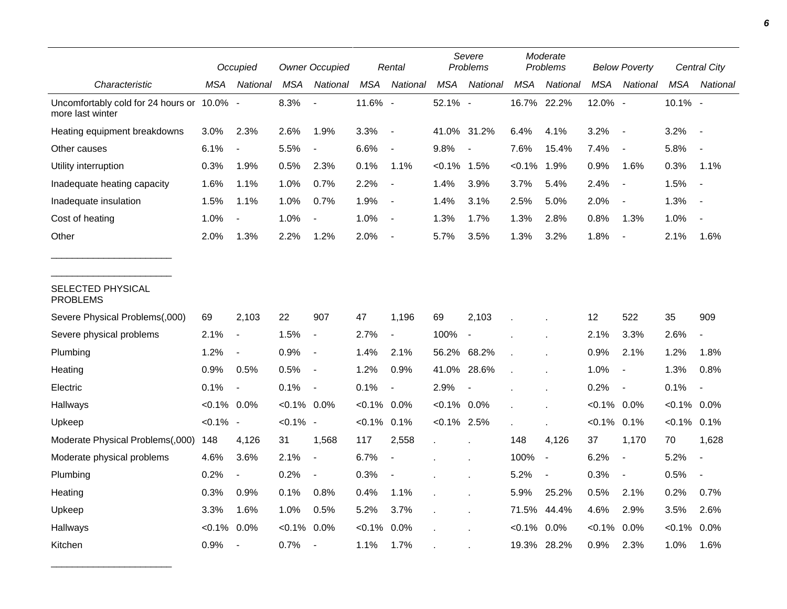|                                                                |                | Occupied                 |                | <b>Owner Occupied</b>    |            | Rental                   |                | Severe<br>Problems       |            | Moderate<br>Problems |                | <b>Below Poverty</b>     |                | Central City             |
|----------------------------------------------------------------|----------------|--------------------------|----------------|--------------------------|------------|--------------------------|----------------|--------------------------|------------|----------------------|----------------|--------------------------|----------------|--------------------------|
| Characteristic                                                 | MSA            | National                 | MSA            | National                 | <b>MSA</b> | National                 | <b>MSA</b>     | National                 | <b>MSA</b> | National             | <b>MSA</b>     | National                 | <b>MSA</b>     | National                 |
| Uncomfortably cold for 24 hours or 10.0% -<br>more last winter |                |                          | 8.3%           | $\overline{a}$           | 11.6% -    |                          | 52.1% -        |                          |            | 16.7% 22.2%          | 12.0% -        |                          | 10.1% -        |                          |
| Heating equipment breakdowns                                   | 3.0%           | 2.3%                     | 2.6%           | 1.9%                     | 3.3%       | $\overline{\phantom{a}}$ |                | 41.0% 31.2%              | 6.4%       | 4.1%                 | 3.2%           | $\overline{\phantom{a}}$ | 3.2%           | $\blacksquare$           |
| Other causes                                                   | 6.1%           | $\overline{\phantom{a}}$ | 5.5%           |                          | 6.6%       | $\overline{\phantom{a}}$ | 9.8%           | $\overline{\phantom{a}}$ | 7.6%       | 15.4%                | 7.4%           | $\overline{\phantom{a}}$ | 5.8%           |                          |
| Utility interruption                                           | 0.3%           | 1.9%                     | 0.5%           | 2.3%                     | 0.1%       | 1.1%                     | $< 0.1\%$      | 1.5%                     | $< 0.1\%$  | 1.9%                 | 0.9%           | 1.6%                     | 0.3%           | 1.1%                     |
| Inadequate heating capacity                                    | 1.6%           | 1.1%                     | 1.0%           | 0.7%                     | 2.2%       | $\blacksquare$           | 1.4%           | 3.9%                     | 3.7%       | 5.4%                 | 2.4%           | $\overline{\phantom{a}}$ | 1.5%           | $\overline{\phantom{a}}$ |
| Inadequate insulation                                          | 1.5%           | 1.1%                     | 1.0%           | 0.7%                     | 1.9%       | $\overline{\phantom{a}}$ | 1.4%           | 3.1%                     | 2.5%       | 5.0%                 | 2.0%           | $\overline{\phantom{a}}$ | 1.3%           | $\overline{\phantom{a}}$ |
| Cost of heating                                                | 1.0%           |                          | 1.0%           |                          | 1.0%       | $\overline{\phantom{a}}$ | 1.3%           | 1.7%                     | 1.3%       | 2.8%                 | 0.8%           | 1.3%                     | 1.0%           |                          |
| Other                                                          | 2.0%           | 1.3%                     | 2.2%           | 1.2%                     | 2.0%       | $\overline{\phantom{a}}$ | 5.7%           | 3.5%                     | 1.3%       | 3.2%                 | 1.8%           | $\overline{\phantom{a}}$ | 2.1%           | 1.6%                     |
| SELECTED PHYSICAL<br><b>PROBLEMS</b>                           |                |                          |                |                          |            |                          |                |                          |            |                      |                |                          |                |                          |
| Severe Physical Problems(,000)                                 | 69             | 2,103                    | 22             | 907                      | 47         | 1,196                    | 69             | 2,103                    |            |                      | 12             | 522                      | 35             | 909                      |
| Severe physical problems                                       | 2.1%           | $\overline{\phantom{a}}$ | 1.5%           | $\overline{\phantom{a}}$ | 2.7%       | $\overline{\phantom{a}}$ | 100%           | $\overline{\phantom{a}}$ |            |                      | 2.1%           | 3.3%                     | 2.6%           | $\blacksquare$           |
| Plumbing                                                       | 1.2%           | $\blacksquare$           | 0.9%           | $\overline{\phantom{a}}$ | 1.4%       | 2.1%                     |                | 56.2% 68.2%              |            |                      | 0.9%           | 2.1%                     | 1.2%           | 1.8%                     |
| Heating                                                        | 0.9%           | 0.5%                     | 0.5%           | $\overline{\phantom{a}}$ | 1.2%       | 0.9%                     | 41.0%          | 28.6%                    |            |                      | 1.0%           | $\overline{\phantom{a}}$ | 1.3%           | 0.8%                     |
| Electric                                                       | 0.1%           | $\overline{\phantom{a}}$ | 0.1%           | $\overline{\phantom{a}}$ | 0.1%       | $\blacksquare$           | 2.9%           | $\overline{\phantom{a}}$ |            |                      | 0.2%           | $\overline{\phantom{a}}$ | 0.1%           | $\overline{\phantom{a}}$ |
| Hallways                                                       | $< 0.1\%$ 0.0% |                          | $< 0.1\%$ 0.0% |                          | $< 0.1\%$  | 0.0%                     | $< 0.1\%$ 0.0% |                          |            |                      | $< 0.1\%$ 0.0% |                          | $< 0.1\%$ 0.0% |                          |
| Upkeep                                                         | $< 0.1\%$ -    |                          | $< 0.1\%$ -    |                          | $< 0.1\%$  | 0.1%                     | $< 0.1\%$ 2.5% |                          |            |                      | $< 0.1\%$      | 0.1%                     | $< 0.1\%$ 0.1% |                          |
| Moderate Physical Problems(,000)                               | 148            | 4,126                    | 31             | 1,568                    | 117        | 2,558                    | $\bullet$      |                          | 148        | 4,126                | 37             | 1,170                    | 70             | 1,628                    |
| Moderate physical problems                                     | 4.6%           | 3.6%                     | 2.1%           | $\overline{\phantom{a}}$ | 6.7%       | $\overline{\phantom{a}}$ |                |                          | 100%       | $\blacksquare$       | 6.2%           | $\overline{\phantom{a}}$ | 5.2%           | $\overline{a}$           |
| Plumbing                                                       | 0.2%           | $\overline{\phantom{a}}$ | 0.2%           | $\overline{a}$           | 0.3%       | $\blacksquare$           |                |                          | 5.2%       | $\frac{1}{2}$        | 0.3%           | $\overline{\phantom{a}}$ | 0.5%           |                          |
| Heating                                                        | 0.3%           | 0.9%                     | 0.1%           | 0.8%                     | 0.4%       | 1.1%                     |                |                          | 5.9%       | 25.2%                | 0.5%           | 2.1%                     | 0.2%           | 0.7%                     |
| Upkeep                                                         | 3.3%           | 1.6%                     | 1.0%           | 0.5%                     | 5.2%       | 3.7%                     |                |                          | 71.5%      | 44.4%                | 4.6%           | 2.9%                     | 3.5%           | 2.6%                     |
| Hallways                                                       | $< 0.1\%$      | 0.0%                     | $< 0.1\%$      | 0.0%                     | $< 0.1\%$  | 0.0%                     |                |                          | $< 0.1\%$  | 0.0%                 | $< 0.1\%$      | 0.0%                     | $< 0.1\%$      | 0.0%                     |
| Kitchen                                                        | 0.9%           | $\blacksquare$           | 0.7%           |                          | 1.1%       | 1.7%                     |                |                          | 19.3%      | 28.2%                | 0.9%           | 2.3%                     | 1.0%           | 1.6%                     |

\_\_\_\_\_\_\_\_\_\_\_\_\_\_\_\_\_\_\_\_\_\_\_